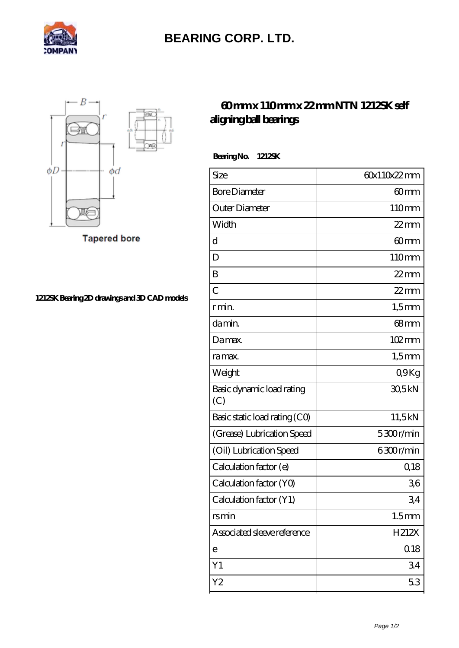

## **[BEARING CORP. LTD.](https://mamzellealacote.com)**



**Tapered bore** 

**[1212SK Bearing 2D drawings and 3D CAD models](https://mamzellealacote.com/pic-398269.html)**

## **[60 mm x 110 mm x 22 mm NTN 1212SK self](https://mamzellealacote.com/bj-398269-ntn-1212sk-self-aligning-ball-bearings.html) [aligning ball bearings](https://mamzellealacote.com/bj-398269-ntn-1212sk-self-aligning-ball-bearings.html)**

 **Bearing No. 1212SK**

| Size                             | 60x110x22mm       |
|----------------------------------|-------------------|
| <b>Bore Diameter</b>             | 60mm              |
| Outer Diameter                   | 110mm             |
| Width                            | $22$ mm           |
| d                                | 60mm              |
| D                                | 110mm             |
| B                                | $22$ mm           |
| $\overline{C}$                   | $22$ mm           |
| r min.                           | $1,5$ mm          |
| da min.                          | 68 <sub>mm</sub>  |
| Damax.                           | 102mm             |
| ra max.                          | $1,5$ mm          |
| Weight                           | Q9Kg              |
| Basic dynamic load rating<br>(C) | 30,5kN            |
| Basic static load rating (CO)    | 11,5kN            |
| (Grease) Lubrication Speed       | 5300r/min         |
| (Oil) Lubrication Speed          | 6300r/min         |
| Calculation factor (e)           | 0,18              |
| Calculation factor (YO)          | 36                |
| Calculation factor (Y1)          | 34                |
| rsmin                            | 1.5 <sub>mm</sub> |
| Associated sleeve reference      | H212X             |
| е                                | 0.18              |
| Y1                               | 34                |
| Y2                               | 53                |
|                                  |                   |